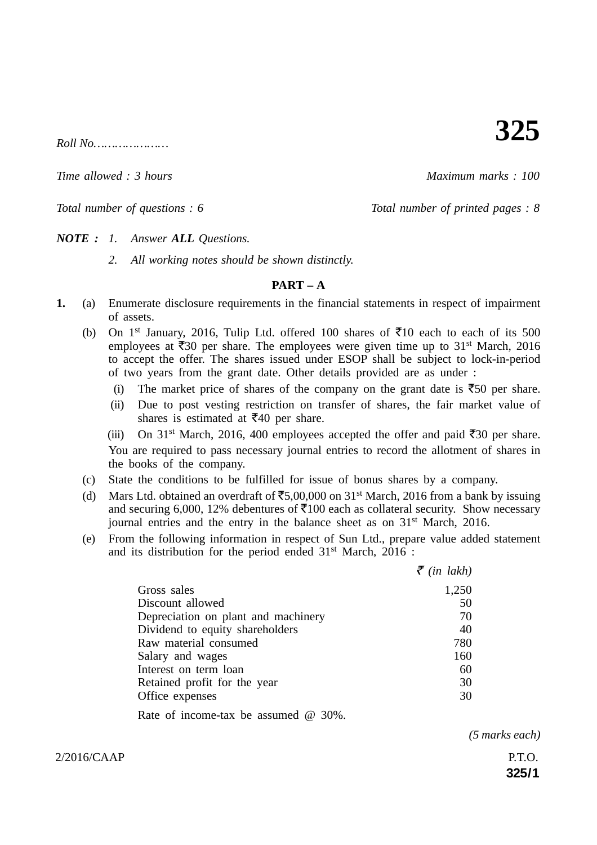*Roll No…………………*

*Time allowed : 3 hours Maximum marks : 100*

*Total number of questions : 6 Total number of printed pages : 8*

**325**

*NOTE : 1. Answer ALL Questions.*

*2. All working notes should be shown distinctly.*

### **PART – A**

- **1.** (a) Enumerate disclosure requirements in the financial statements in respect of impairment of assets.
	- (b) On 1<sup>st</sup> January, 2016, Tulip Ltd. offered 100 shares of  $\overline{5}10$  each to each of its 500 employees at  $\overline{530}$  per share. The employees were given time up to 31<sup>st</sup> March, 2016 to accept the offer. The shares issued under ESOP shall be subject to lock-in-period of two years from the grant date. Other details provided are as under :
		- (i) The market price of shares of the company on the grant date is  $\overline{550}$  per share.
		- (ii) Due to post vesting restriction on transfer of shares, the fair market value of shares is estimated at  $\overline{5}40$  per share.
		- (iii) On 31<sup>st</sup> March, 2016, 400 employees accepted the offer and paid  $\overline{5}30$  per share. You are required to pass necessary journal entries to record the allotment of shares in the books of the company.
	- (c) State the conditions to be fulfilled for issue of bonus shares by a company.
	- (d) Mars Ltd. obtained an overdraft of  $\text{\textsterling}5,00,000$  on 31<sup>st</sup> March, 2016 from a bank by issuing and securing 6,000, 12% debentures of  $\text{\textsterling}100$  each as collateral security. Show necessary journal entries and the entry in the balance sheet as on 31<sup>st</sup> March, 2016.
	- (e) From the following information in respect of Sun Ltd., prepare value added statement and its distribution for the period ended 31<sup>st</sup> March, 2016 :

|                                             | $\bar{\tau}$ (in lakh) |
|---------------------------------------------|------------------------|
| Gross sales                                 | 1,250                  |
| Discount allowed                            | 50                     |
| Depreciation on plant and machinery         | 70                     |
| Dividend to equity shareholders             | 40                     |
| Raw material consumed                       | 780                    |
| Salary and wages                            | 160                    |
| Interest on term loan                       | 60                     |
| Retained profit for the year                | 30                     |
| Office expenses                             | 30                     |
| Rate of income-tax be assumed $\omega$ 30%. |                        |

*(5 marks each)*

 $2/2016/CAAP$  P.T.O.

**325/1**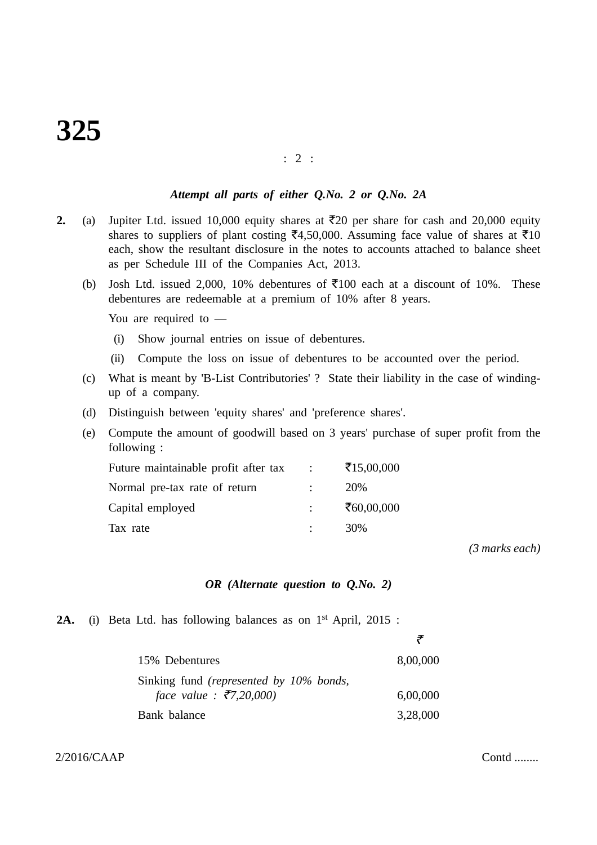#### : 2 :

## *Attempt all parts of either Q.No. 2 or Q.No. 2A*

- **2.** (a) Jupiter Ltd. issued 10,000 equity shares at  $\overline{z}$ 20 per share for cash and 20,000 equity shares to suppliers of plant costing  $\bar{x}$ 4,50,000. Assuming face value of shares at  $\bar{x}$ 10 each, show the resultant disclosure in the notes to accounts attached to balance sheet as per Schedule III of the Companies Act, 2013.
	- (b) Josh Ltd. issued 2,000, 10% debentures of  $\overline{5}100$  each at a discount of 10%. These debentures are redeemable at a premium of 10% after 8 years.

You are required to —

- (i) Show journal entries on issue of debentures.
- (ii) Compute the loss on issue of debentures to be accounted over the period.
- (c) What is meant by 'B-List Contributories' ? State their liability in the case of windingup of a company.
- (d) Distinguish between 'equity shares' and 'preference shares'.
- (e) Compute the amount of goodwill based on 3 years' purchase of super profit from the following :

| Future maintainable profit after tax | ₹15,00,000 |
|--------------------------------------|------------|
| Normal pre-tax rate of return        | 20%        |
| Capital employed                     | ₹60,00,000 |
| Tax rate                             | 30%        |

*(3 marks each)*

#### *OR (Alternate question to Q.No. 2)*

2A. (i) Beta Ltd. has following balances as on 1<sup>st</sup> April, 2015 :

| 15% Debentures                                 | 8,00,000 |
|------------------------------------------------|----------|
| Sinking fund <i>(represented by 10% bonds,</i> |          |
| face value: $\bar{\xi}$ 7,20,000)              | 6,00,000 |
| Bank balance                                   | 3,28,000 |

 $2/2016/CAAP$  Contd ........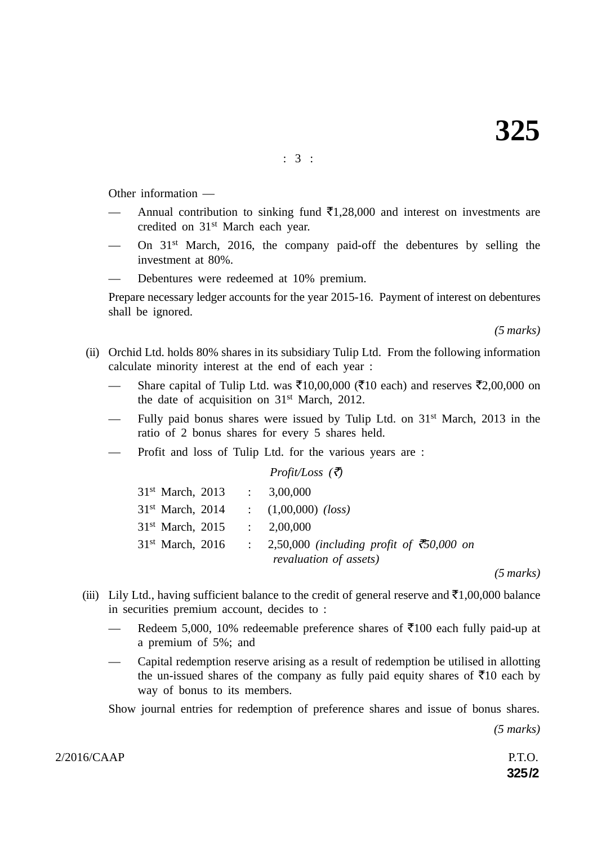: 3 :

Other information —

- Annual contribution to sinking fund  $\bar{\tau}$ 1,28,000 and interest on investments are credited on 31st March each year.
- On  $31<sup>st</sup>$  March, 2016, the company paid-off the debentures by selling the investment at 80%.
- Debentures were redeemed at 10% premium.

Prepare necessary ledger accounts for the year 2015-16. Payment of interest on debentures shall be ignored.

*(5 marks)*

- (ii) Orchid Ltd. holds 80% shares in its subsidiary Tulip Ltd. From the following information calculate minority interest at the end of each year :
	- Share capital of Tulip Ltd. was ₹10,00,000 (₹10 each) and reserves ₹2,00,000 on the date of acquisition on 31st March, 2012.
	- Fully paid bonus shares were issued by Tulip Ltd. on 31st March, 2013 in the ratio of 2 bonus shares for every 5 shares held.
	- Profit and loss of Tulip Ltd. for the various years are :

*Profit/Loss (*-*)*

| $31st$ March, 2013 | $\therefore$ 3,00,000                              |
|--------------------|----------------------------------------------------|
| $31st$ March, 2014 | $(1,00,000)$ (loss)                                |
| $31st$ March, 2015 | $\therefore$ 2,00,000                              |
| $31st$ March, 2016 | : 2,50,000 (including profit of $\bar{c}50,000$ on |
|                    | revaluation of assets)                             |

*(5 marks)*

- (iii) Lily Ltd., having sufficient balance to the credit of general reserve and  $\bar{\mathfrak{c}}1,00,000$  balance in securities premium account, decides to :
	- Redeem 5,000, 10% redeemable preference shares of  $\bar{\tau}$ 100 each fully paid-up at a premium of 5%; and
	- Capital redemption reserve arising as a result of redemption be utilised in allotting the un-issued shares of the company as fully paid equity shares of  $\bar{\tau}10$  each by way of bonus to its members.

Show journal entries for redemption of preference shares and issue of bonus shares.

 *(5 marks)*

 $2/2016/CAAP$  P.T.O.

**325/2**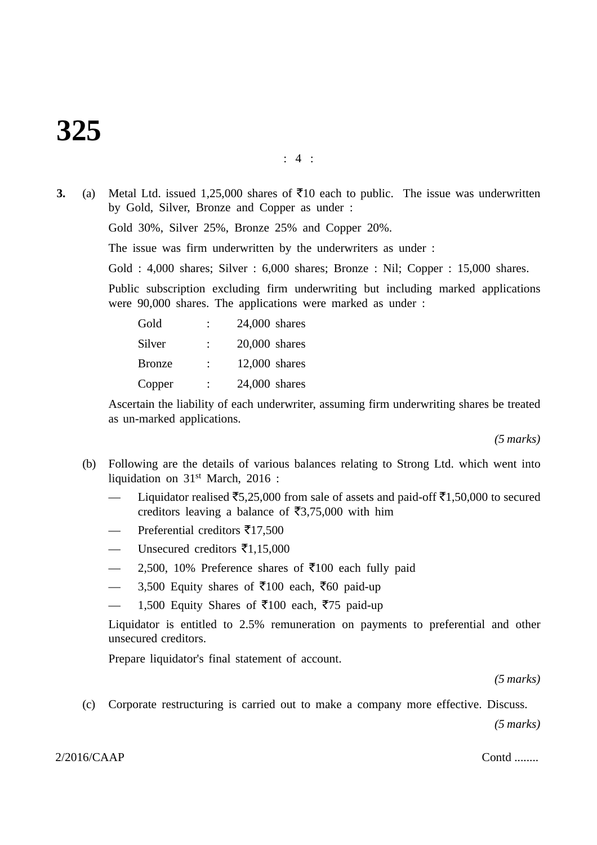# **325**

**3.** (a) Metal Ltd. issued 1,25,000 shares of  $\overline{5}10$  each to public. The issue was underwritten by Gold, Silver, Bronze and Copper as under : Gold 30%, Silver 25%, Bronze 25% and Copper 20%. The issue was firm underwritten by the underwriters as under : Gold : 4,000 shares; Silver : 6,000 shares; Bronze : Nil; Copper : 15,000 shares. Public subscription excluding firm underwriting but including marked applications were 90,000 shares. The applications were marked as under :

| Gold          |                | $24,000$ shares |
|---------------|----------------|-----------------|
| Silver        |                | $20,000$ shares |
| <b>Bronze</b> |                | $12,000$ shares |
| Copper        | $\ddot{\cdot}$ | $24,000$ shares |

Ascertain the liability of each underwriter, assuming firm underwriting shares be treated as un-marked applications.

*(5 marks)*

- (b) Following are the details of various balances relating to Strong Ltd. which went into liquidation on 31st March, 2016 :
	- Liquidator realised ₹5,25,000 from sale of assets and paid-off ₹1,50,000 to secured creditors leaving a balance of  $\overline{\mathfrak{F}}3,75,000$  with him
	- Preferential creditors  $\bar{\mathfrak{F}}$ 17,500
	- Unsecured creditors  $\bar{\mathfrak{F}}1,15,000$
	- $-$  2,500, 10% Preference shares of ₹100 each fully paid
	- $-$  3,500 Equity shares of ₹100 each, ₹60 paid-up
	- $-$  1,500 Equity Shares of ₹100 each, ₹75 paid-up

Liquidator is entitled to 2.5% remuneration on payments to preferential and other unsecured creditors.

Prepare liquidator's final statement of account.

*(5 marks)*

(c) Corporate restructuring is carried out to make a company more effective. Discuss.

*(5 marks)*

 $2/2016/CAAP$  Contd ........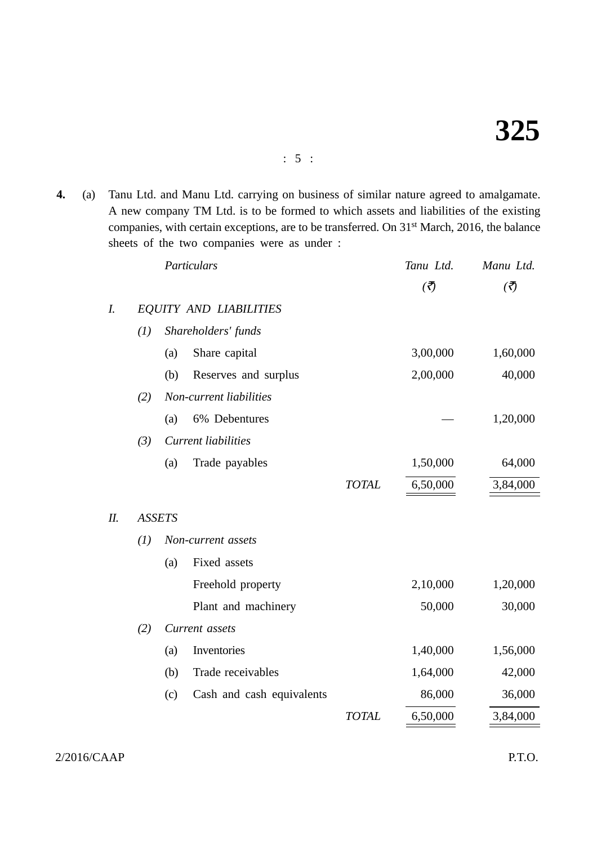**4.** (a) Tanu Ltd. and Manu Ltd. carrying on business of similar nature agreed to amalgamate. A new company TM Ltd. is to be formed to which assets and liabilities of the existing companies, with certain exceptions, are to be transferred. On 31<sup>st</sup> March, 2016, the balance sheets of the two companies were as under :

|     |     |               | Particulars                   |              | Tanu Ltd.              | Manu Ltd.                |
|-----|-----|---------------|-------------------------------|--------------|------------------------|--------------------------|
|     |     |               |                               |              | $\left(\vec{z}\right)$ | $\overline{\mathcal{L}}$ |
| I.  |     |               | <b>EQUITY AND LIABILITIES</b> |              |                        |                          |
|     | (I) |               | Shareholders' funds           |              |                        |                          |
|     |     | (a)           | Share capital                 |              | 3,00,000               | 1,60,000                 |
|     |     | (b)           | Reserves and surplus          |              | 2,00,000               | 40,000                   |
|     | (2) |               | Non-current liabilities       |              |                        |                          |
|     |     | (a)           | 6% Debentures                 |              |                        | 1,20,000                 |
|     | (3) |               | <b>Current liabilities</b>    |              |                        |                          |
|     |     | (a)           | Trade payables                |              | 1,50,000               | 64,000                   |
|     |     |               |                               | <b>TOTAL</b> | 6,50,000               | 3,84,000                 |
| II. |     | <b>ASSETS</b> |                               |              |                        |                          |
|     | (I) |               | Non-current assets            |              |                        |                          |
|     |     | (a)           | Fixed assets                  |              |                        |                          |
|     |     |               | Freehold property             |              | 2,10,000               | 1,20,000                 |
|     |     |               | Plant and machinery           |              | 50,000                 | 30,000                   |
|     | (2) |               | Current assets                |              |                        |                          |
|     |     | (a)           | Inventories                   |              | 1,40,000               | 1,56,000                 |
|     |     | (b)           | Trade receivables             |              | 1,64,000               | 42,000                   |
|     |     | (c)           | Cash and cash equivalents     |              | 86,000                 | 36,000                   |
|     |     |               |                               | <b>TOTAL</b> | 6,50,000               | 3,84,000                 |

2/2016/CAAP P.T.O.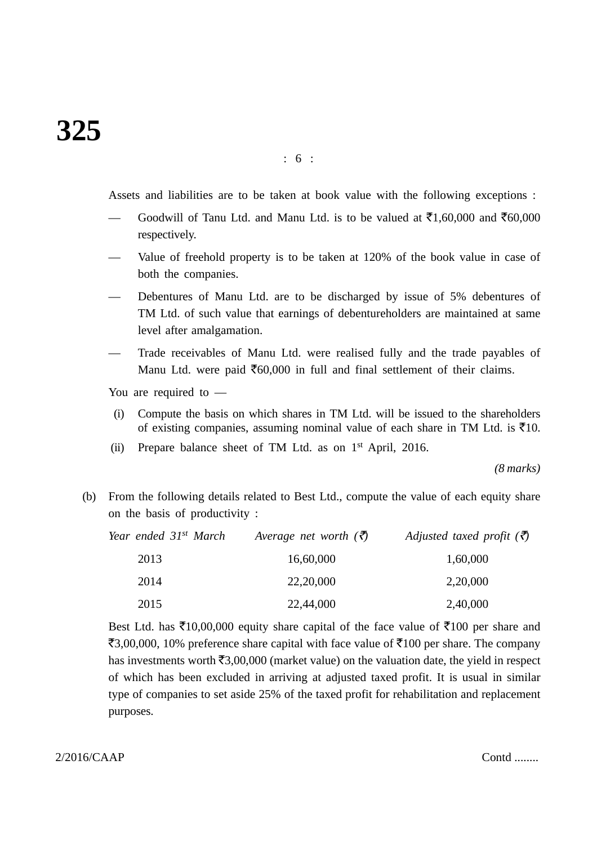Assets and liabilities are to be taken at book value with the following exceptions :

- → Goodwill of Tanu Ltd. and Manu Ltd. is to be valued at  $\bar{\mathbf{z}}1,60,000$  and  $\bar{\mathbf{z}}60,000$ respectively.
- Value of freehold property is to be taken at 120% of the book value in case of both the companies.
- Debentures of Manu Ltd. are to be discharged by issue of 5% debentures of TM Ltd. of such value that earnings of debentureholders are maintained at same level after amalgamation.
- Trade receivables of Manu Ltd. were realised fully and the trade payables of Manu Ltd. were paid  $\bar{\epsilon}$ 60,000 in full and final settlement of their claims.

You are required to —

- (i) Compute the basis on which shares in TM Ltd. will be issued to the shareholders of existing companies, assuming nominal value of each share in TM Ltd. is  $\bar{\mathfrak{g}}10$ .
- (ii) Prepare balance sheet of TM Ltd. as on 1st April, 2016.

*(8 marks)*

(b) From the following details related to Best Ltd., compute the value of each equity share on the basis of productivity :

| Year ended 31 <sup>st</sup> March | Average net worth $(\bar{\zeta})$ | Adjusted taxed profit $(\bar{\vec{z}})$ |
|-----------------------------------|-----------------------------------|-----------------------------------------|
| 2013                              | 16,60,000                         | 1,60,000                                |
| 2014                              | 22,20,000                         | 2,20,000                                |
| 2015                              | 22,44,000                         | 2,40,000                                |

Best Ltd. has  $\bar{\mathfrak{X}}10,00,000$  equity share capital of the face value of  $\bar{\mathfrak{X}}100$  per share and ₹3,00,000, 10% preference share capital with face value of ₹100 per share. The company has investments worth  $\text{\textsterling}3,00,000$  (market value) on the valuation date, the yield in respect of which has been excluded in arriving at adjusted taxed profit. It is usual in similar type of companies to set aside 25% of the taxed profit for rehabilitation and replacement purposes.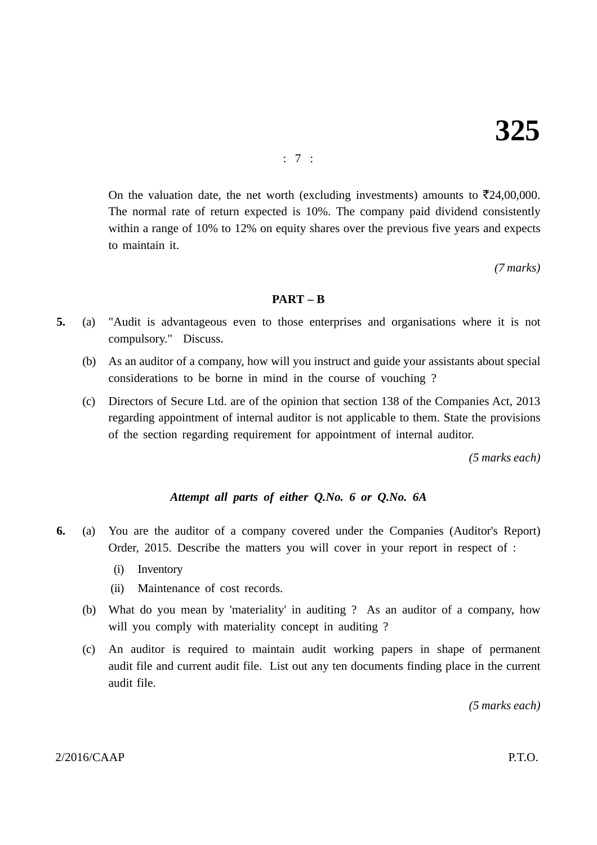: 7 :

On the valuation date, the net worth (excluding investments) amounts to  $\bar{\mathfrak{Z}}24,00,000$ . The normal rate of return expected is 10%. The company paid dividend consistently within a range of 10% to 12% on equity shares over the previous five years and expects to maintain it.

*(7 marks)*

# **PART – B**

- **5.** (a) "Audit is advantageous even to those enterprises and organisations where it is not compulsory." Discuss.
	- (b) As an auditor of a company, how will you instruct and guide your assistants about special considerations to be borne in mind in the course of vouching ?
	- (c) Directors of Secure Ltd. are of the opinion that section 138 of the Companies Act, 2013 regarding appointment of internal auditor is not applicable to them. State the provisions of the section regarding requirement for appointment of internal auditor.

*(5 marks each)*

# *Attempt all parts of either Q.No. 6 or Q.No. 6A*

- **6.** (a) You are the auditor of a company covered under the Companies (Auditor's Report) Order, 2015. Describe the matters you will cover in your report in respect of :
	- (i) Inventory
	- (ii) Maintenance of cost records.
	- (b) What do you mean by 'materiality' in auditing ? As an auditor of a company, how will you comply with materiality concept in auditing ?
	- (c) An auditor is required to maintain audit working papers in shape of permanent audit file and current audit file. List out any ten documents finding place in the current audit file.

*(5 marks each)*

## $2/2016/CAAP$  P.T.O.